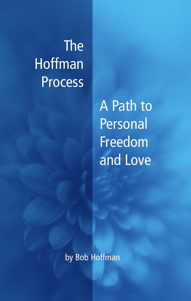# The **Hoffman** Process

A Path to Personal Freedom and Love

by Bob Hoffman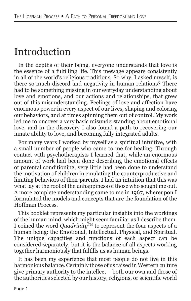#### Introduction

In the depths of their being, everyone understands that love is the essence of a fulfilling life. This message appears consistently in all of the world's religious traditions. So why, I asked myself, is there so much discord and negativity in human relations? There had to be something missing in our everyday understanding about love and emotions, and our actions and relationships, that grew out of this misunderstanding. Feelings of love and affection have enormous power in every aspect of our lives, shaping and coloring our behaviors, and at times spinning them out of control. My work led me to uncover a very basic misunderstanding about emotional love, and in the discovery I also found a path to recovering our innate ability to love, and becoming fully integrated adults.

For many years I worked by myself as a spiritual intuitive, with a small number of people who came to me for healing. Through contact with psychotherapists I learned that, while an enormous amount of work had been done describing the emotional effects of parental conditioning, very little had been done to understand the motivation of children in emulating the counterproductive and limiting behaviors of their parents. I had an intuition that this was what lay at the root of the unhappiness of those who sought me out. A more complete understanding came to me in 1967, whereupon I formulated the models and concepts that are the foundation of the Hoffman Process.

This booklet represents my particular insights into the workings of the human mind, which might seem familiar as I describe them. I coined the word *Quadrinity*<sup>TM</sup> to represent the four aspects of a human being: the Emotional, Intellectual, Physical, and Spiritual. The unique capacities and functions of each aspect can be considered separately, but it is the balance of all aspects working together harmoniously that fulfills us as human beings.

It has been my experience that most people do not live in this harmonious balance. Certainly those of us raised in Western culture give primary authority to the intellect – both our own and those of the authorities selected by our history, religions, or scientific world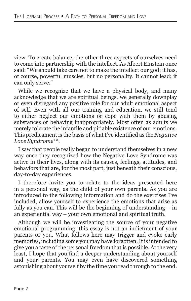view. To create balance, the other three aspects of ourselves need to come into partnership with the intellect. As Albert Einstein once said: "We should take care not to make the intellect our god; it has, of course, powerful muscles, but no personality. It cannot lead; it can only serve."

While we recognize that we have a physical body, and many acknowledge that we are spiritual beings, we generally downplay or even disregard any positive role for our adult emotional aspect of self. Even with all our training and education, we still tend to either neglect our emotions or cope with them by abusing substances or behaving inappropriately. Most often as adults we merely tolerate the infantile and pitiable existence of our emotions. This predicament is the basis of what I've identified as the *Negative Love Syndrome*TM.

I saw that people really began to understand themselves in a new way once they recognized how the Negative Love Syndrome was active in their lives, along with its causes, feelings, attitudes, and behaviors that are, for the most part, just beneath their conscious, day-to-day experiences.

I therefore invite you to relate to the ideas presented here in a personal way, as the child of your own parents. As you are introduced to the following information and do the exercises I've included, allow yourself to experience the emotions that arise as fully as you can. This will be the beginning of understanding – in an experiential way – your own emotional and spiritual truth.

Although we will be investigating the source of your negative emotional programming, this essay is not an indictment of your parents or you. What follows here may trigger and evoke early memories, including some you may have forgotten. It is intended to give you a taste of the personal freedom that is possible. At the very least, I hope that you find a deeper understanding about yourself and your parents. You may even have discovered something astonishing about yourself by the time you read through to the end.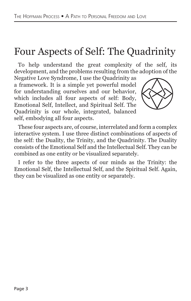### Four Aspects of Self: The Quadrinity

To help understand the great complexity of the self, its development, and the problems resulting from the adoption of the

Negative Love Syndrome, I use the Quadrinity as a framework. It is a simple yet powerful model for understanding ourselves and our behavior, which includes all four aspects of self: Body, Emotional Self, Intellect, and Spiritual Self. The Quadrinity is our whole, integrated, balanced self, embodying all four aspects.



These four aspects are, of course, interrelated and form a complex interactive system. I use three distinct combinations of aspects of the self: the Duality, the Trinity, and the Quadrinity. The Duality consists of the Emotional Self and the Intellectual Self. They can be combined as one entity or be visualized separately.

I refer to the three aspects of our minds as the Trinity: the Emotional Self, the Intellectual Self, and the Spiritual Self. Again, they can be visualized as one entity or separately.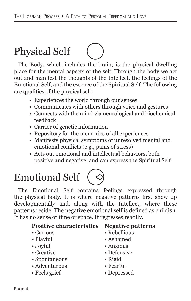### Physical Self

The Body, which includes the brain, is the physical dwelling place for the mental aspects of the self. Through the body we act out and manifest the thoughts of the Intellect, the feelings of the Emotional Self, and the essence of the Spiritual Self. The following are qualities of the physical self:

- Experiences the world through our senses
- Communicates with others through voice and gestures
- Connects with the mind via neurological and biochemical feedback
- Carrier of genetic information
- Repository for the memories of all experiences
- Manifests physical symptoms of unresolved mental and emotional conflicts (e.g., pains of stress)
- Acts out emotional and intellectual behaviors, both positive and negative, and can express the Spiritual Self

## Emotional Self

The Emotional Self contains feelings expressed through the physical body. It is where negative patterns first show up developmentally and, along with the Intellect, where these patterns reside. The negative emotional self is defined as childish. It has no sense of time or space. It regresses readily.

#### **Positive characteristics Negative patterns**

- 
- 
- 
- 
- Spontaneous Rigid
- Adventurous Fearful
- Feels grief Depressed
- Curious Rebellious
- Playful Ashamed
- Joyful Anxious
- Creative Defensive
	-
	-
	-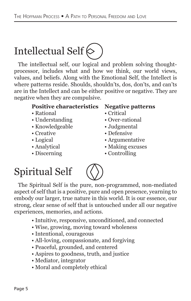## Intellectual Self $\Diamond$

The intellectual self, our logical and problem solving thoughtprocessor, includes what and how we think, our world views, values, and beliefs. Along with the Emotional Self, the Intellect is where patterns reside. Shoulds, shouldn'ts, dos, don'ts, and can'ts are in the Intellect and can be either positive or negative. They are negative when they are compulsive.

#### **Positive characteristics Negative patterns**

- Rational Critical
- Understanding Over-rational
- Knowledgeable • Judgmental
- 
- 
- 
- 
- 
- 
- 
- Creative Defensive
- Logical Argumentative
- Analytical Making excuses
- Discerning Controlling

### Spiritual Self



The Spiritual Self is the pure, non-programmed, non-mediated aspect of self that is a positive, pure and open presence, yearning to embody our larger, true nature in this world. It is our essence, our strong, clear sense of self that is untouched under all our negative experiences, memories, and actions.

- Intuitive, responsive, unconditioned, and connected
- Wise, growing, moving toward wholeness
- Intentional, courageous
- All-loving, compassionate, and forgiving
- Peaceful, grounded, and centered
- Aspires to goodness, truth, and justice
- Mediator, integrator
- Moral and completely ethical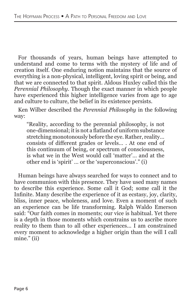For thousands of years, human beings have attempted to understand and come to terms with the mystery of life and of creation itself. One enduring notion maintains that the source of everything is a non-physical, intelligent, loving spirit or being, and that we are connected to that spirit. Aldous Huxley called this the *Perennial Philosophy*. Though the exact manner in which people have experienced this higher intelligence varies from age to age and culture to culture, the belief in its existence persists.

Ken Wilber described the *Perennial Philosophy* in the following way:

"Reality, according to the perennial philosophy, is not one-dimensional; it is not a flatland of uniform substance stretching monotonously before the eye. Rather, reality… consists of different grades or levels… . At one end of this continuum of being, or spectrum of consciousness, is what we in the West would call 'matter'… and at the other end is 'spirit' … or the 'superconscious'." (i)

Human beings have always searched for ways to connect and to have communion with this presence. They have used many names to describe this experience. Some call it God; some call it the Infinite. Many describe the experience of it as ecstasy, joy, clarity, bliss, inner peace, wholeness, and love. Even a moment of such an experience can be life transforming. Ralph Waldo Emerson said: "Our faith comes in moments; our vice is habitual. Yet there is a depth in those moments which constrains us to ascribe more reality to them than to all other experiences... I am constrained every moment to acknowledge a higher origin than the will I call mine." (ii)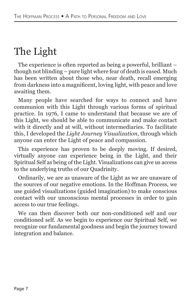### The Light

The experience is often reported as being a powerful, brilliant – though not blinding – pure light where fear of death is eased. Much has been written about those who, near death, recall emerging from darkness into a magnificent, loving light, with peace and love awaiting them.

Many people have searched for ways to connect and have communion with this Light through various forms of spiritual practice. In 1976, I came to understand that because we are of this Light, we should be able to communicate and make contact with it directly and at will, without intermediaries. To facilitate this, I developed the *Light Journey Visualization*, through which anyone can enter the Light of peace and compassion.

This experience has proven to be deeply moving. If desired, virtually anyone can experience being in the Light, and their Spiritual Self as being of the Light. Visualizations can give us access to the underlying truths of our Quadrinity.

Ordinarily, we are as unaware of the Light as we are unaware of the sources of our negative emotions. In the Hoffman Process, we use guided visualizations (guided imagination) to make conscious contact with our unconscious mental processes in order to gain access to our true feelings.

We can then discover both our non-conditioned self and our conditioned self. As we begin to experience our Spiritual Self, we recognize our fundamental goodness and begin the journey toward integration and balance.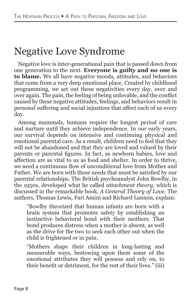### Negative Love Syndrome

Negative love is inter-generational pain that is passed down from one generation to the next. **Everyone is guilty and no one is to blame.** We all have negative moods, attitudes, and behaviors that come from a very deep emotional place. Created by childhood programming, we act out these negativities every day, over and over again. The pain, the feeling of being unlovable, and the conflict caused by these negative attitudes, feelings, and behaviors result in personal suffering and social injustices that affect each of us every day.

Among mammals, humans require the longest period of care and nurture until they achieve independence. In our early years, our survival depends on intensive and continuing physical and emotional parental care. As a result, children need to feel that they will not be abandoned and that they are loved and valued by their parents or parental figures. In fact, as newborn babies, love and affection are as vital to us as food and shelter. In order to thrive, we need a continuous flow of unconditional love from Mother and Father. We are born with these needs that must be satisfied by our parental relationships. The British psychoanalyst John Bowlby, in the 1950s, developed what he called *attachment theory*, which is discussed in the remarkable book, *A General Theory of Love*. The authors, Thomas Lewis, Fari Amini and Richard Lannon, explain:

"Bowlby theorized that human infants are born with a brain system that promotes safety by establishing an instinctive behavioral bond with their mothers. That bond produces distress when a mother is absent, as well as the drive for the two to seek each other out when the child is frightened or in pain.

"Mothers shape their children in long-lasting and measurable ways, bestowing upon them some of the emotional attributes they will possess and rely on, to their benefit or detriment, for the rest of their lives." (iii)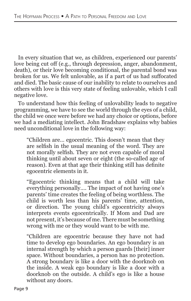In every situation that we, as children, experienced our parents' love being cut off (e.g., through depression, anger, abandonment, death), or their love becoming conditional, the parental bond was broken for us. We felt unlovable, as if a part of us had suffocated and died. The basic cause of our inability to relate to ourselves and others with love is this very state of feeling unlovable, which I call negative love.

To understand how this feeling of unlovability leads to negative programming, we have to see the world through the eyes of a child, the child we once were before we had any choice or options, before we had a mediating intellect. John Bradshaw explains why babies need unconditional love in the following way:

"Children are… egocentric. This doesn't mean that they are selfish in the usual meaning of the word. They are not morally selfish. They are not even capable of moral thinking until about seven or eight (the so-called age of reason). Even at that age their thinking still has definite egocentric elements in it.

"Egocentric thinking means that a child will take everything personally…. The impact of not having one's parents' time creates the feeling of being worthless. The child is worth less than his parents' time, attention, or direction. The young child's egocentricity always interprets events egocentrically. If Mom and Dad are not present, it's because of me. There must be something wrong with me or they would want to be with me.

"Children are egocentric because they have not had time to develop ego boundaries. An ego boundary is an internal strength by which a person guards [their] inner space. Without boundaries, a person has no protection. A strong boundary is like a door with the doorknob on the inside. A weak ego boundary is like a door with a doorknob on the outside. A child's ego is like a house without any doors.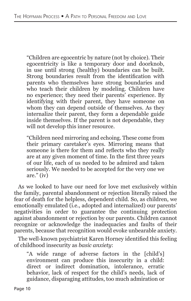"Children are egocentric by nature (not by choice). Their egocentricity is like a temporary door and doorknob, in use until strong (healthy) boundaries can be built. Strong boundaries result from the identification with parents who themselves have strong boundaries and who teach their children by modeling. Children have no experience; they need their parents' experience. By identifying with their parent, they have someone on whom they can depend outside of themselves. As they internalize their parent, they form a dependable guide inside themselves. If the parent is not dependable, they will not develop this inner resource.

"Children need mirroring and echoing. These come from their primary caretaker's eyes. Mirroring means that someone is there for them and reflects who they really are at any given moment of time. In the first three years of our life, each of us needed to be admired and taken seriously. We needed to be accepted for the very one we are." (iv)

As we looked to have our need for love met exclusively within the family, parental abandonment or rejection literally raised the fear of death for the helpless, dependent child. So, as children, we emotionally emulated (i.e., adopted and internalized) our parents' negativities in order to guarantee the continuing protection against abandonment or rejection by our parents. Children cannot recognize or acknowledge the inadequacies and faults of their parents, because that recognition would evoke unbearable anxiety.

The well-known psychiatrist Karen Horney identified this feeling of childhood insecurity as *basic anxiety*:

"A wide range of adverse factors in the [child's] environment can produce this insecurity in a child: direct or indirect domination, intolerance, erratic behavior, lack of respect for the child's needs, lack of guidance, disparaging attitudes, too much admiration or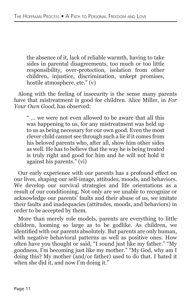the absence of it, lack of reliable warmth, having to take sides in parental disagreements, too much or too little responsibility, over-protection, isolation from other children, injustice, discrimination, unkept promises, hostile atmosphere, etc." (v)

Along with the feeling of insecurity is the sense many parents have that mistreatment is good for children. Alice Miller, in *For Your Own Good*, has observed:

" … we were not even allowed to be aware that all this was happening to us, for any mistreatment was held up to us as being necessary for our own good. Even the most clever child cannot see through such a lie if it comes from his beloved parents who, after all, show him other sides as well. He has to believe that the way he is being treated is truly right and good for him and he will not hold it against his parents." (vi)

Our early experience with our parents has a profound effect on our lives, shaping our self-image, attitudes, moods, and behaviors. We develop our survival strategies and life orientations as a result of our conditioning. Not only are we unable to recognize or acknowledge our parents' faults and their abuse of us, we imitate their faults and inadequacies (attitudes, moods, and behaviors) in order to be accepted by them.

More than merely role models, parents are everything to little children, looming so large as to be godlike. As children, we identified with our parents absolutely. But parents are only human, with negative behavioral patterns as well as positive ones. How often have you thought or said, "I sound just like my father." "My goodness, I'm becoming just like my mother." "My God, why am I doing this? My mother (and/or father) used to do that. I hated it when she did it, and now I'm doing it."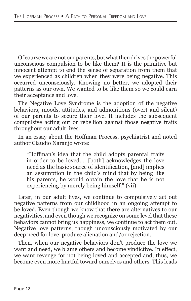Of course we are not our parents, but what then drives the powerful unconscious compulsion to be like them? It is the primitive but innocent attempt to end the sense of separation from them that we experienced as children when they were being negative. This occurred unconsciously. Knowing no better, we adopted their patterns as our own. We wanted to be like them so we could earn their acceptance and love.

The Negative Love Syndrome is the adoption of the negative behaviors, moods, attitudes, and admonitions (overt and silent) of our parents to secure their love. It includes the subsequent compulsive acting out or rebellion against those negative traits throughout our adult lives.

In an essay about the Hoffman Process, psychiatrist and noted author Claudio Naranjo wrote:

"Hoffman's idea that the child adopts parental traits in order to be loved…. [both] acknowledges the love need as the basic source of identification, [and] implies an assumption in the child's mind that by being like his parents, he would obtain the love that he is not experiencing by merely being himself." (vii)

Later, in our adult lives, we continue to compulsively act out negative patterns from our childhood in an ongoing attempt to be loved. Even though we know that there are alternatives to our negativities, and even though we recognize on some level that these behaviors cannot bring us happiness, we continue to act them out. Negative love patterns, though unconsciously motivated by our deep need for love, produce alienation and/or rejection.

Then, when our negative behaviors don't produce the love we want and need, we blame others and become vindictive. In effect, we want revenge for not being loved and accepted and, thus, we become even more hurtful toward ourselves and others. This leads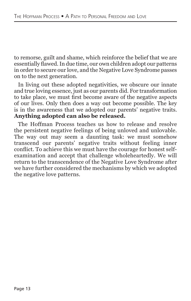to remorse, guilt and shame, which reinforce the belief that we are essentially flawed. In due time, our own children adopt our patterns in order to secure our love, and the Negative Love Syndrome passes on to the next generation.

In living out these adopted negativities, we obscure our innate and true loving essence, just as our parents did. For transformation to take place, we must first become aware of the negative aspects of our lives. Only then does a way out become possible. The key is in the awareness that we adopted our parents' negative traits. **Anything adopted can also be released.**

The Hoffman Process teaches us how to release and resolve the persistent negative feelings of being unloved and unlovable. The way out may seem a daunting task: we must somehow transcend our parents' negative traits without feeling inner conflict. To achieve this we must have the courage for honest selfexamination and accept that challenge wholeheartedly. We will return to the transcendence of the Negative Love Syndrome after we have further considered the mechanisms by which we adopted the negative love patterns.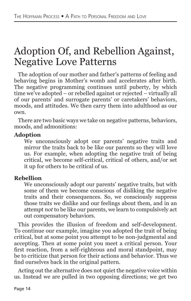### Adoption Of, and Rebellion Against, Negative Love Patterns

The adoption of our mother and father's patterns of feeling and behaving begins in Mother's womb and accelerates after birth. The negative programming continues until puberty, by which time we've adopted – or rebelled against or rejected – virtually all of our parents' and surrogate parents' or caretakers' behaviors, moods, and attitudes. We then carry them into adulthood as our own.

There are two basic ways we take on negative patterns, behaviors, moods, and admonitions:

#### **Adoption**

We unconsciously adopt our parents' negative traits and mirror the traits back to be like our parents so they will love us. For example, when adopting the negative trait of being critical, we become self-critical, critical of others, and/or set it up for others to be critical of us.

#### **Rebellion**

We unconsciously adopt our parents' negative traits, but with some of them we become conscious of disliking the negative traits and their consequences. So, we consciously suppress those traits we dislike and our feelings about them, and in an attempt *not* to be like our parents, we learn to compulsively act out compensatory behaviors.

This provides the illusion of freedom and self-development. To continue our example, imagine you adopted the trait of being critical, but at some point you attempt to be non-judgmental and accepting. Then at some point you meet a critical person. Your first reaction, from a self-righteous and moral standpoint, may be to criticize that person for their actions and behavior. Thus we find ourselves back in the original pattern.

Acting out the alternative does not quiet the negative voice within us. Instead we are pulled in two opposing directions; we get two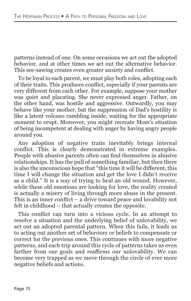patterns instead of one. On some occasions we act out the adopted behavior, and at other times we act out the alternative behavior. This see-sawing creates even greater anxiety and conflict.

To be loyal to each parent, we must play both roles, adopting each of their traits. This produces conflict, especially if your parents are very different from each other. For example, suppose your mother was quiet and placating. She never expressed anger. Father, on the other hand, was hostile and aggressive. Outwardly, you may behave like your mother, but the suppression of Dad's hostility is like a latent volcano rumbling inside, waiting for the appropriate moment to erupt. Moreover, you might recreate Mom's situation of being incompetent at dealing with anger by having angry people around you.

Any adoption of negative traits inevitably brings internal conflict. This is clearly demonstrated in extreme examples. People with abusive parents often can find themselves in abusive relationships. It has the pull of something familiar, but then there is also the unconscious hope that "this time it will be different, this time I will change the situation and get the love I didn't receive as a child." It is a way of trying to heal an old wound. However, while these old emotions are looking for love, the reality created is actually a misery of living through more abuse in the present. This is an inner conflict – a drive toward peace and lovability not felt in childhood – that actually creates the opposite.

This conflict can turn into a vicious cycle. In an attempt to resolve a situation and the underlying belief of unlovability, we act out an adopted parental pattern. When this fails, it leads us to acting out another set of behaviors or beliefs to compensate or correct for the previous ones. This continues with more negative patterns, and each trip around this cycle of patterns takes us even farther from our goals and reaffirms our unlovability. We can become very trapped as we move through the circle of ever more negative beliefs and actions.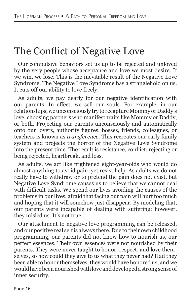### The Conflict of Negative Love

Our compulsive behaviors set us up to be rejected and unloved by the very people whose acceptance and love we most desire. If we win, we lose. This is the inevitable result of the Negative Love Syndrome. The Negative Love Syndrome has a stranglehold on us. It cuts off our ability to love freely.

As adults, we pay dearly for our negative identification with our parents. In effect, we sell our souls. For example, in our relationships, we unconsciously try to recapture Mommy or Daddy's love, choosing partners who manifest traits like Mommy or Daddy, or both. Projecting our parents unconsciously and automatically onto our lovers, authority figures, bosses, friends, colleagues, or teachers is known as *transference*. This recreates our early family system and projects the horror of the Negative Love Syndrome into the present time. The result is resistance, conflict, rejecting or being rejected, heartbreak, and loss.

As adults, we act like frightened eight-year-olds who would do almost anything to avoid pain, yet resist help. As adults we do not really have to withdraw or to pretend the pain does not exist, but Negative Love Syndrome causes us to believe that we cannot deal with difficult tasks. We spend our lives avoiding the causes of the problems in our lives, afraid that facing our pain will hurt too much and hoping that it will somehow just disappear. By modeling that, our parents were incapable of dealing with suffering; however, they misled us. It's not true.

Our attachment to negative love programming can be released, and our positive real self is always there. Due to their own childhood programming, our parents did not know how to nourish us, our perfect essences. Their own essences were not nourished by their parents. They were never taught to honor, respect, and love themselves, so how could they give to us what they never had? Had they been able to honor themselves, they would have honored us, and we would have been nourished with love and developed a strong sense of inner security.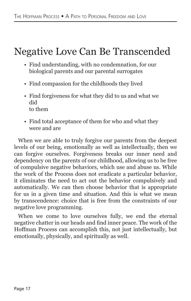### Negative Love Can Be Transcended

- Find understanding, with no condemnation, for our biological parents and our parental surrogates
- Find compassion for the childhoods they lived
- Find forgiveness for what they did to us and what we did to them
- Find total acceptance of them for who and what they were and are

When we are able to truly forgive our parents from the deepest levels of our being, emotionally as well as intellectually, then we can forgive ourselves. Forgiveness breaks our inner need and dependency on the parents of our childhood, allowing us to be free of compulsive negative behaviors, which use and abuse us. While the work of the Process does not eradicate a particular behavior, it eliminates the need to act out the behavior compulsively and automatically. We can then choose behavior that is appropriate for us in a given time and situation. And this is what we mean by transcendence: choice that is free from the constraints of our negative love programming.

When we come to love ourselves fully, we end the eternal negative chatter in our heads and find inner peace. The work of the Hoffman Process can accomplish this, not just intellectually, but emotionally, physically, and spiritually as well.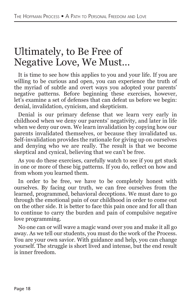#### Ultimately, to Be Free of Negative Love, We Must…

It is time to see how this applies to you and your life. If you are willing to be curious and open, you can experience the truth of the myriad of subtle and overt ways you adopted your parents' negative patterns. Before beginning these exercises, however, let's examine a set of defenses that can defeat us before we begin: denial, invalidation, cynicism, and skepticism.

Denial is our primary defense that we learn very early in childhood when we deny our parents' negativity, and later in life when we deny our own. We learn invalidation by copying how our parents invalidated themselves, or because they invalidated us. Self-invalidation provides the rationale for giving up on ourselves and denying who we are really. The result is that we become skeptical and cynical, believing that we can't be free.

As you do these exercises, carefully watch to see if you get stuck in one or more of these big patterns. If you do, reflect on how and from whom you learned them.

In order to be free, we have to be completely honest with ourselves. By facing our truth, we can free ourselves from the learned, programmed, behavioral deceptions. We must dare to go through the emotional pain of our childhood in order to come out on the other side. It is better to face this pain once and for all than to continue to carry the burden and pain of compulsive negative love programming.

No one can or will wave a magic wand over you and make it all go away. As we tell our students, you must do the work of the Process. You are your own savior. With guidance and help, you can change yourself. The struggle is short lived and intense, but the end result is inner freedom.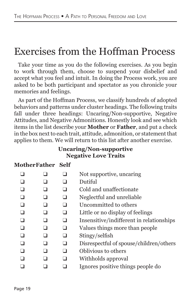#### Exercises from the Hoffman Process

Take your time as you do the following exercises. As you begin to work through them, choose to suspend your disbelief and accept what you feel and intuit. In doing the Process work, you are asked to be both participant and spectator as you chronicle your memories and feelings.

As part of the Hoffman Process, we classify hundreds of adopted behaviors and patterns under cluster headings. The following traits fall under three headings: Uncaring/Non-supportive, Negative Attitudes, and Negative Admonitions. Honestly look and see which items in the list describe your **Mother** or **Father**, and put a check in the box next to each trait, attitude, admonition, or statement that applies to them. We will return to this list after another exercise.

#### **Uncaring/Non-supportive Negative Love Traits**

#### **MotherFather Self**

|  | Not supportive, uncaring<br>Dutiful<br>Cold and unaffectionate<br>Neglectful and unreliable<br>Uncommitted to others<br>Little or no display of feelings<br>Insensitive/indifferent in relationships<br>Values things more than people<br>Stingy/selfish |
|--|----------------------------------------------------------------------------------------------------------------------------------------------------------------------------------------------------------------------------------------------------------|
|  |                                                                                                                                                                                                                                                          |
|  |                                                                                                                                                                                                                                                          |
|  | Disrespectful of spouse/children/others                                                                                                                                                                                                                  |
|  | Oblivious to others                                                                                                                                                                                                                                      |
|  | Withholds approval                                                                                                                                                                                                                                       |
|  | Ignores positive things people do                                                                                                                                                                                                                        |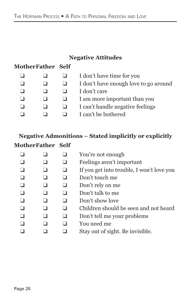#### **Negative Attitudes**

#### **MotherFather Self**

|  | I don't have time for you             |
|--|---------------------------------------|
|  | I don't have enough love to go around |
|  | I don't care                          |
|  | I am more important than you          |
|  | I can't handle negative feelings      |
|  | I can't be bothered                   |
|  |                                       |

#### **Negative Admonitions – Stated implicitly or explicitly MotherFather Self**

|  | You're not enough                         |
|--|-------------------------------------------|
|  | Feelings aren't important                 |
|  | If you get into trouble, I won't love you |
|  | Don't touch me                            |
|  | Don't rely on me                          |
|  | Don't talk to me                          |
|  | Don't show love                           |
|  | Children should be seen and not heard     |
|  | Don't tell me your problems               |
|  | You need me                               |
|  | Stay out of sight. Be invisible.          |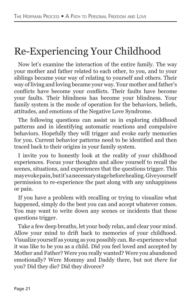### Re-Experiencing Your Childhood

Now let's examine the interaction of the entire family. The way your mother and father related to each other, to you, and to your siblings became your way of relating to yourself and others. Their way of living and loving became your way. Your mother and father's conflicts have become your conflicts. Their faults have become your faults. Their blindness has become your blindness. Your family system is the mode of operation for the behaviors, beliefs, attitudes, and emotions of the Negative Love Syndrome.

The following questions can assist us in exploring childhood patterns and in identifying automatic reactions and compulsive behaviors. Hopefully they will trigger and evoke early memories for you. Current behavior patterns need to be identified and then traced back to their origins in your family system.

I invite you to honestly look at the reality of your childhood experiences. Focus your thoughts and allow yourself to recall the scenes, situations, and experiences that the questions trigger. This may evoke pain, but it's a necessary stage before healing. Give yourself permission to re-experience the past along with any unhappiness or pain.

If you have a problem with recalling or trying to visualize what happened, simply do the best you can and accept whatever comes. You may want to write down any scenes or incidents that these questions trigger.

Take a few deep breaths, let your body relax, and clear your mind. Allow your mind to drift back to memories of your childhood. Visualize yourself as young as you possibly can. Re-experience what it was like to be you as a child. Did you feel loved and accepted by Mother and Father? Were you really wanted? Were you abandoned emotionally? Were Mommy and Daddy there, but not *there* for you? Did they die? Did they divorce?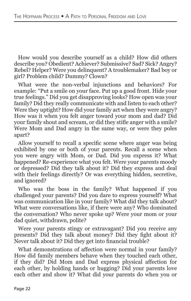How would you describe yourself as a child? How did others describe you? Obedient? Achiever? Submissive? Sad? Sick? Angry? Rebel? Helper? Were you delinquent? A troublemaker? Bad boy or girl? Problem child? Dummy? Clown?

What were the non-verbal injunctions and behaviors? For example: "Put a smile on your face. Put up a good front. Hide your true feelings." Did you get disapproving looks? How open was your family? Did they really communicate with and listen to each other? Were they uptight? How did your family act when they were angry? How was it when you felt anger toward your mom and dad? Did your family shout and scream, or did they stifle anger with a smile? Were Mom and Dad angry in the same way, or were they poles apart?

Allow yourself to recall a specific scene where anger was being exhibited by one or both of your parents. Recall a scene when you were angry with Mom, or Dad. Did you express it? What happened? Re-experience what you felt. Were your parents moody or depressed? Did they talk about it? Did they express and deal with their feelings directly? Or was everything hidden, secretive, and ignored?

Who was the boss in the family? What happened if you challenged your parents? Did you dare to express yourself? What was communication like in your family? What did they talk about? What were conversations like, if there were any? Who dominated the conversation? Who never spoke up? Were your mom or your dad quiet, withdrawn, polite?

Were your parents stingy or extravagant? Did you receive any presents? Did they talk about money? Did they fight about it? Never talk about it? Did they get into financial trouble?

What demonstrations of affection were normal in your family? How did family members behave when they touched each other, if they did? Did Mom and Dad express physical affection for each other, by holding hands or hugging? Did your parents love each other and show it? What did your parents do when you or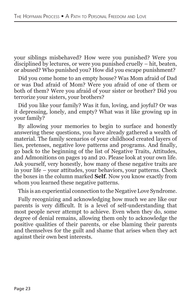your siblings misbehaved? How were you punished? Were you disciplined by lectures, or were you punished cruelly – hit, beaten, or abused? Who punished you? How did you escape punishment?

Did you come home to an empty house? Was Mom afraid of Dad or was Dad afraid of Mom? Were you afraid of one of them or both of them? Were you afraid of your sister or brother? Did you terrorize your sisters, your brothers?

Did you like your family? Was it fun, loving, and joyful? Or was it depressing, lonely, and empty? What was it like growing up in your family?

By allowing your memories to begin to surface and honestly answering these questions, you have already gathered a wealth of material. The family scenarios of your childhood created layers of lies, pretenses, negative love patterns and programs. And finally, go back to the beginning of the list of Negative Traits, Attitudes, and Admonitions on pages 19 and 20. Please look at your own life. Ask yourself, very honestly, how many of these negative traits are in your life – your attitudes, your behaviors, your patterns. Check the boxes in the column marked **Self**. Now you know exactly from whom you learned these negative patterns.

This is an experiential connection to the Negative Love Syndrome.

Fully recognizing and acknowledging how much we are like our parents is very difficult. It is a level of self-understanding that most people never attempt to achieve. Even when they do, some degree of denial remains, allowing them only to acknowledge the positive qualities of their parents, or else blaming their parents and themselves for the guilt and shame that arises when they act against their own best interests.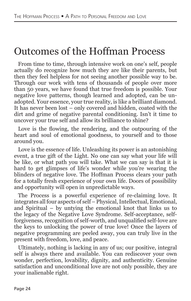#### Outcomes of the Hoffman Process

From time to time, through intensive work on one's self, people actually do recognize how much they are like their parents, but then they feel helpless for not seeing another possible way to be. Through our work with tens of thousands of people over more than 50 years, we have found that true freedom is possible. Your negative love patterns, though learned and adopted, can be unadopted. Your essence, your true reality, is like a brilliant diamond. It has never been lost – only covered and hidden, coated with the dirt and grime of negative parental conditioning. Isn't it time to uncover your true self and allow its brilliance to shine?

Love is the flowing, the rendering, and the outpouring of the heart and soul of emotional goodness, to yourself and to those around you.

Love is the essence of life. Unleashing its power is an astonishing event, a true gift of the Light. No one can say what your life will be like, or what path you will take. What we can say is that it is hard to get glimpses of life's wonder while you're wearing the blinders of negative love. The Hoffman Process clears your path for a totally fresh experience of your own life. Doors of possibility and opportunity will open in unpredictable ways.

The Process is a powerful experience of re-claiming love. It integrates all four aspects of self – Physical, Intellectual, Emotional, and Spiritual – by untying the emotional knot that links us to the legacy of the Negative Love Syndrome. Self-acceptance, selfforgiveness, recognition of self-worth, and unqualified self-love are the keys to unlocking the power of true love! Once the layers of negative programming are peeled away, you can truly live in the present with freedom, love, and peace.

Ultimately, nothing is lacking in any of us; our positive, integral self is always there and available. You can rediscover your own wonder, perfection, lovability, dignity, and authenticity. Genuine satisfaction and unconditional love are not only possible, they are your inalienable right.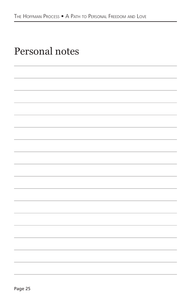| Personal notes |
|----------------|
|                |

| ۰.<br>× |
|---------|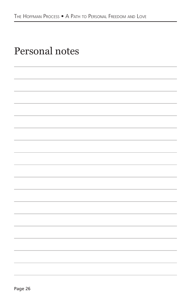| Personal notes |  |
|----------------|--|
|----------------|--|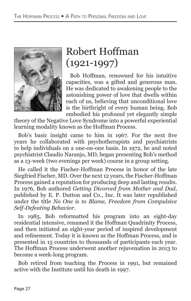

### Robert Hoffman  $(1921 - 1997)$

Bob Hoffman, renowned for his intuitive capacities, was a gifted and generous man. He was dedicated to awakening people to the astonishing power of love that dwells within each of us, believing that unconditional love is the birthright of every human being. Bob embodied his profound yet elegantly simple

theory of the Negative Love Syndrome into a powerful experiential learning modality known as the Hoffman Process.

Bob's basic insight came to him in 1967. For the next five years he collaborated with psychotherapists and psychiatrists to help individuals on a one-on-one basis. In 1972, he and noted psychiatrist Claudio Naranjo, MD, began presenting Bob's method as a 13-week (two evenings per week) course in a group setting.

He called it the Fischer-Hoffman Process in honor of the late Siegfried Fischer, MD. Over the next 12 years, the Fischer-Hoffman Process gained a reputation for producing deep and lasting results. In 1976, Bob authored *Getting Divorced from Mother and Dad*, published by E. P. Dutton and Co., Inc. It was later republished under the title *No One is to Blame, Freedom from Compulsive Self-Defeating Behavior*.

In 1985, Bob reformatted his program into an eight-day residential intensive, renamed it the Hoffman Quadrinity Process, and then initiated an eight-year period of inspired development and refinement. Today it is known as the Hoffman Process, and is presented in 15 countries to thousands of participants each year. The Hoffman Process underwent another rejuvenation in 2013 to become a week-long program.

Bob retired from teaching the Process in 1991, but remained active with the Institute until his death in 1997.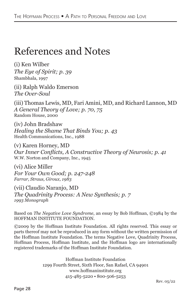#### References and Notes

(i) Ken Wilber *The Eye of Spirit; p. 39* Shambhala, 1997

(ii) Ralph Waldo Emerson *The Over-Soul*

(iii) Thomas Lewis, MD, Fari Amini, MD, and Richard Lannon, MD *A General Theory of Love; p. 70, 75* Random House, 2000

(iv) John Bradshaw *Healing the Shame That Binds You; p. 43* Health Communications, Inc., 1988

(v) Karen Horney, MD *Our Inner Conflicts, A Constructive Theory of Neurosis; p. 41* W.W. Norton and Company, Inc., 1945

(vi) Alice Miller *For Your Own Good; p. 247-248 Farrar, Straus, Giroux, 1983*

(vii) Claudio Naranjo, MD *The Quadrinity Process: A New Synthesis; p. 7 1993 Monograph*

Based on *The Negative Love Syndrome*, an essay by Bob Hoffman, ©1984 by the HOFFMAN INSTITUTE FOUNDATION.

©2009 by the Hoffman Institute Foundation. All rights reserved. This essay or parts thereof may not be reproduced in any form without the written permission of the Hoffman Institute Foundation. The terms Negative Love, Quadrinity Process, Hoffman Process, Hoffman Institute, and the Hoffman logo are internationally registered trademarks of the Hoffman Institute Foundation.

> Hoffman Institute Foundation 1299 Fourth Street, Sixth Floor, San Rafael, CA 94901 www.hoffmaninstitute.org 415-485-5220 • 800-506-5253